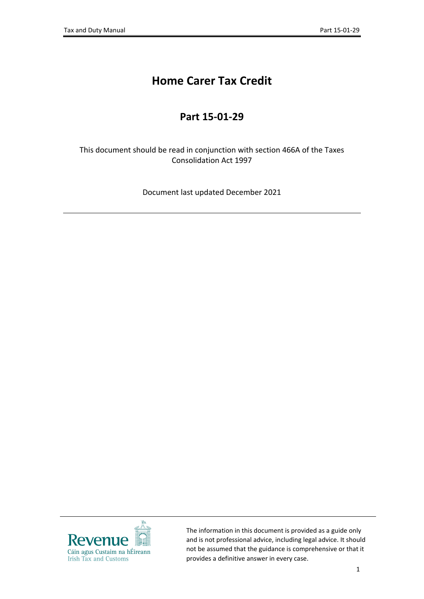# **Home Carer Tax Credit**

## **Part 15-01-29**

This document should be read in conjunction with section 466A of the Taxes Consolidation Act 1997

Document last updated December 2021



The information in this document is provided as a guide only and is not professional advice, including legal advice. It should not be assumed that the guidance is comprehensive or that it provides a definitive answer in every case.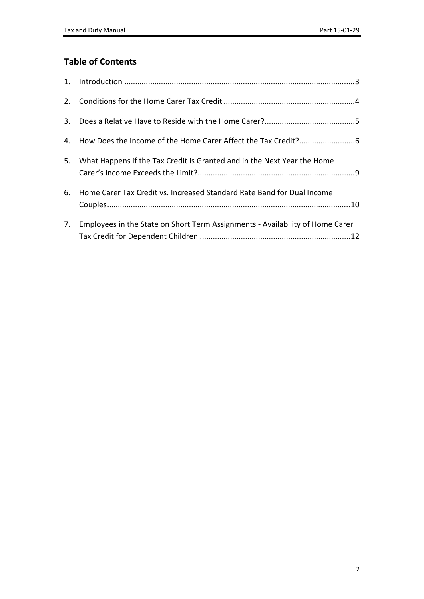### **Table of Contents**

| 3. |                                                                               |
|----|-------------------------------------------------------------------------------|
|    |                                                                               |
| 5. | What Happens if the Tax Credit is Granted and in the Next Year the Home       |
| 6. | Home Carer Tax Credit vs. Increased Standard Rate Band for Dual Income        |
| 7. | Employees in the State on Short Term Assignments - Availability of Home Carer |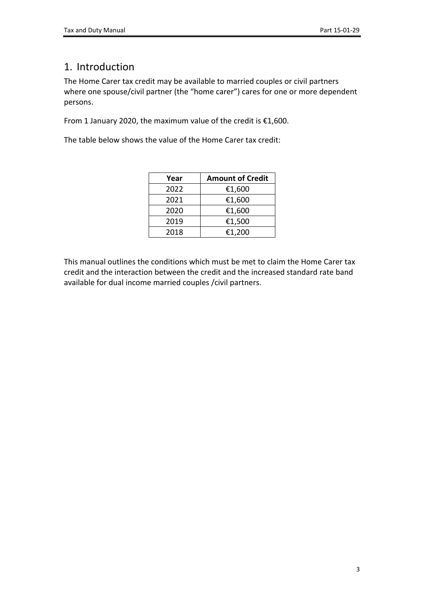## <span id="page-2-0"></span>1. Introduction

The Home Carer tax credit may be available to married couples or civil partners where one spouse/civil partner (the "home carer") cares for one or more dependent persons.

From 1 January 2020, the maximum value of the credit is €1,600.

The table below shows the value of the Home Carer tax credit:

| Year | <b>Amount of Credit</b> |
|------|-------------------------|
| 2022 | €1,600                  |
| 2021 | €1,600                  |
| 2020 | €1,600                  |
| 2019 | €1,500                  |
| 2018 | €1,200                  |

This manual outlines the conditions which must be met to claim the Home Carer tax credit and the interaction between the credit and the increased standard rate band available for dual income married couples /civil partners.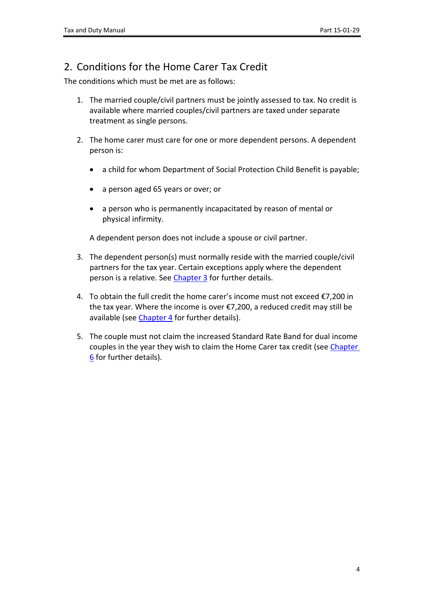### <span id="page-3-0"></span>2. Conditions for the Home Carer Tax Credit

The conditions which must be met are as follows:

- 1. The married couple/civil partners must be jointly assessed to tax. No credit is available where married couples/civil partners are taxed under separate treatment as single persons.
- 2. The home carer must care for one or more dependent persons. A dependent person is:
	- a child for whom Department of Social Protection Child Benefit is payable;
	- a person aged 65 years or over; or
	- a person who is permanently incapacitated by reason of mental or physical infirmity.

A dependent person does not include a spouse or civil partner.

- 3. The dependent person(s) must normally reside with the married couple/civil partners for the tax year. Certain exceptions apply where the dependent person is a relative. See [Chapter](#page-4-0) [3](#page-4-0) for further details.
- 4. To obtain the full credit the home carer's income must not exceed €7,200 in the tax year. Where the income is over €7,200, a reduced credit may still be available (see [Chapter](#page-5-0) [4](#page-5-0) for further details).
- 5. The couple must not claim the increased Standard Rate Band for dual income couples in the year they wish to claim the Home Carer tax credit (see [Chapter](#page-9-0) [6](#page-9-0) for further details).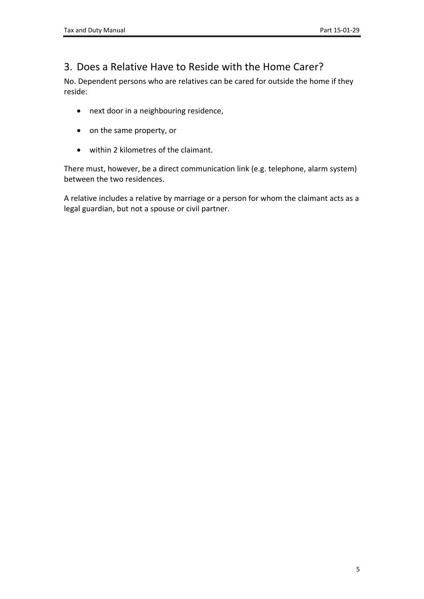### <span id="page-4-0"></span>3. Does a Relative Have to Reside with the Home Carer?

No. Dependent persons who are relatives can be cared for outside the home if they reside:

- next door in a neighbouring residence,
- on the same property, or
- within 2 kilometres of the claimant.

There must, however, be a direct communication link (e.g. telephone, alarm system) between the two residences.

A relative includes a relative by marriage or a person for whom the claimant acts as a legal guardian, but not a spouse or civil partner.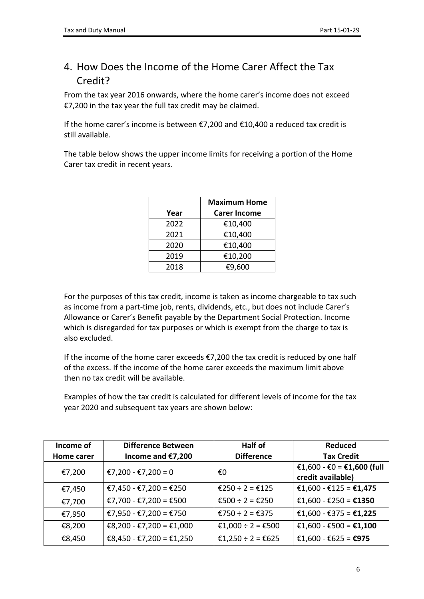## <span id="page-5-0"></span>4. How Does the Income of the Home Carer Affect the Tax Credit?

From the tax year 2016 onwards, where the home carer's income does not exceed €7,200 in the tax year the full tax credit may be claimed.

If the home carer's income is between €7,200 and €10,400 a reduced tax credit is still available.

The table below shows the upper income limits for receiving a portion of the Home Carer tax credit in recent years.

|      | <b>Maximum Home</b> |
|------|---------------------|
| Year | <b>Carer Income</b> |
| 2022 | €10,400             |
| 2021 | €10,400             |
| 2020 | €10,400             |
| 2019 | €10,200             |
| 2018 | €9,600              |

For the purposes of this tax credit, income is taken as income chargeable to tax such as income from a part-time job, rents, dividends, etc., but does not include Carer's Allowance or Carer's Benefit payable by the Department Social Protection. Income which is disregarded for tax purposes or which is exempt from the charge to tax is also excluded.

If the income of the home carer exceeds  $E$ 7,200 the tax credit is reduced by one half of the excess. If the income of the home carer exceeds the maximum limit above then no tax credit will be available.

Examples of how the tax credit is calculated for different levels of income for the tax year 2020 and subsequent tax years are shown below:

| Income of  | <b>Difference Between</b> | <b>Half of</b>    | <b>Reduced</b>                                  |
|------------|---------------------------|-------------------|-------------------------------------------------|
| Home carer | Income and €7,200         | <b>Difference</b> | <b>Tax Credit</b>                               |
| €7,200     | €7,200 - €7,200 = 0       | €O                | €1,600 - €0 = €1,600 (full<br>credit available) |
| €7,450     | €7,450 - €7,200 = €250    | €250 ÷ 2 = €125   | €1,600 - €125 = €1,475                          |
| €7,700     | €7,700 - €7,200 = €500    | €500 ÷ 2 = €250   | €1,600 - €250 = €1350                           |
| €7,950     | €7,950 - €7,200 = €750    | €750 ÷ 2 = €375   | €1,600 - €375 = €1,225                          |
| €8,200     | €8,200 - €7,200 = €1,000  | €1,000 ÷ 2 = €500 | €1,600 - €500 = €1,100                          |
| €8,450     | €8,450 - €7,200 = €1,250  | €1,250 ÷ 2 = €625 | €1,600 - €625 = €975                            |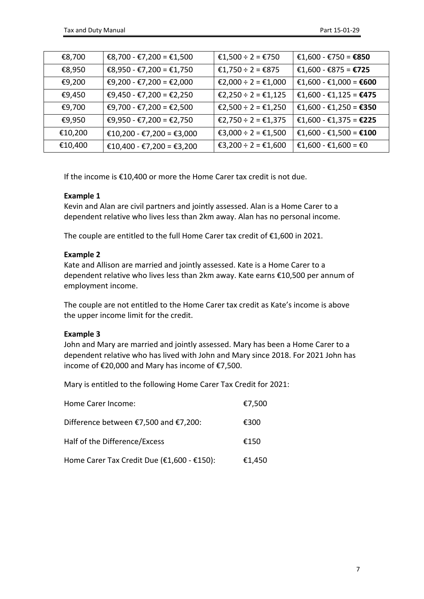| €8,700  | €8,700 - €7,200 = €1,500  | €1,500 ÷ 2 = €750   | €1,600 - €750 = €850   |
|---------|---------------------------|---------------------|------------------------|
| €8,950  | €8,950 - €7,200 = €1,750  | €1,750 ÷ 2 = €875   | €1,600 - €875 = €725   |
| €9,200  | €9,200 - €7,200 = €2,000  | €2,000 ÷ 2 = €1,000 | €1,600 - €1,000 = €600 |
| €9,450  | €9,450 - €7,200 = €2,250  | €2,250 ÷ 2 = €1,125 | €1,600 - €1,125 = €475 |
| €9,700  | €9,700 - €7,200 = €2,500  | €2,500 ÷ 2 = €1,250 | €1,600 - €1,250 = €350 |
| €9,950  | €9,950 - €7,200 = €2,750  | €2,750 ÷ 2 = €1,375 | €1,600 - €1,375 = €225 |
| €10,200 | €10,200 - €7,200 = €3,000 | €3,000 ÷ 2 = €1,500 | €1,600 - €1,500 = €100 |
| €10,400 | €10,400 - €7,200 = €3,200 | €3,200 ÷ 2 = €1,600 | €1,600 - €1,600 = €0   |

If the income is €10,400 or more the Home Carer tax credit is not due.

#### **Example 1**

Kevin and Alan are civil partners and jointly assessed. Alan is a Home Carer to a dependent relative who lives less than 2km away. Alan has no personal income.

The couple are entitled to the full Home Carer tax credit of €1,600 in 2021.

#### **Example 2**

Kate and Allison are married and jointly assessed. Kate is a Home Carer to a dependent relative who lives less than 2km away. Kate earns €10,500 per annum of employment income.

The couple are not entitled to the Home Carer tax credit as Kate's income is above the upper income limit for the credit.

#### **Example 3**

John and Mary are married and jointly assessed. Mary has been a Home Carer to a dependent relative who has lived with John and Mary since 2018. For 2021 John has income of €20,000 and Mary has income of €7,500.

Mary is entitled to the following Home Carer Tax Credit for 2021:

| Home Carer Income:                         | €7,500 |
|--------------------------------------------|--------|
| Difference between €7,500 and €7,200:      | €300   |
| Half of the Difference/Excess              | €150   |
| Home Carer Tax Credit Due (€1,600 - €150): | €1,450 |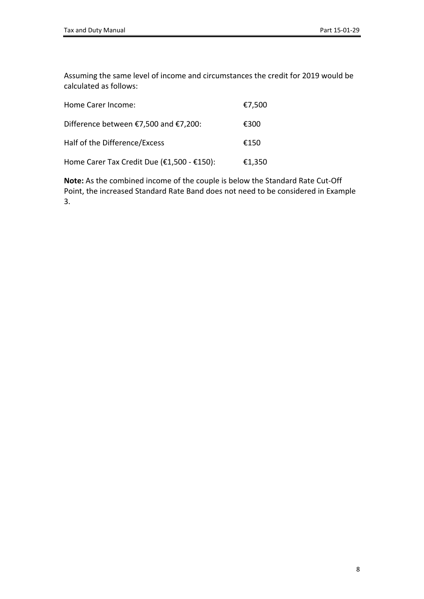Assuming the same level of income and circumstances the credit for 2019 would be calculated as follows:

| Home Carer Income:                         | €7,500 |
|--------------------------------------------|--------|
| Difference between €7,500 and €7,200:      | €300   |
| Half of the Difference/Excess              | €150   |
| Home Carer Tax Credit Due (€1,500 - €150): | €1,350 |

**Note:** As the combined income of the couple is below the Standard Rate Cut-Off Point, the increased Standard Rate Band does not need to be considered in Example 3.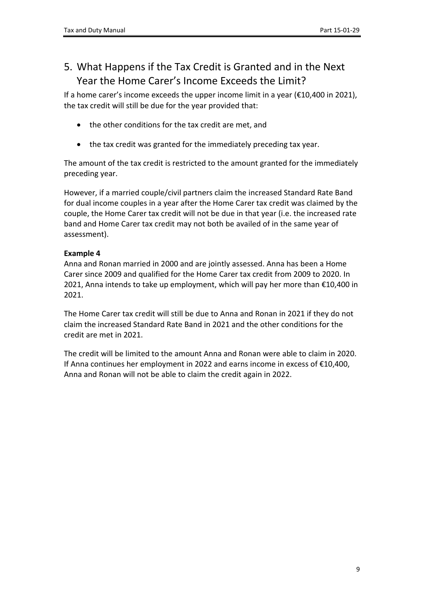## <span id="page-8-0"></span>5. What Happens if the Tax Credit is Granted and in the Next Year the Home Carer's Income Exceeds the Limit?

If a home carer's income exceeds the upper income limit in a year (€10,400 in 2021), the tax credit will still be due for the year provided that:

- the other conditions for the tax credit are met, and
- the tax credit was granted for the immediately preceding tax year.

The amount of the tax credit is restricted to the amount granted for the immediately preceding year.

However, if a married couple/civil partners claim the increased Standard Rate Band for dual income couples in a year after the Home Carer tax credit was claimed by the couple, the Home Carer tax credit will not be due in that year (i.e. the increased rate band and Home Carer tax credit may not both be availed of in the same year of assessment).

#### **Example 4**

Anna and Ronan married in 2000 and are jointly assessed. Anna has been a Home Carer since 2009 and qualified for the Home Carer tax credit from 2009 to 2020. In 2021, Anna intends to take up employment, which will pay her more than €10,400 in 2021.

The Home Carer tax credit will still be due to Anna and Ronan in 2021 if they do not claim the increased Standard Rate Band in 2021 and the other conditions for the credit are met in 2021.

The credit will be limited to the amount Anna and Ronan were able to claim in 2020. If Anna continues her employment in 2022 and earns income in excess of €10,400, Anna and Ronan will not be able to claim the credit again in 2022.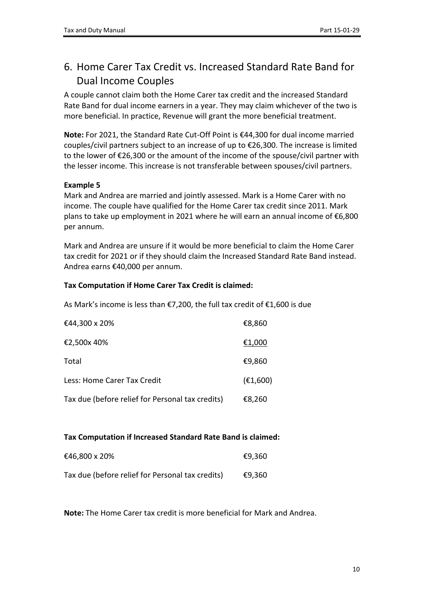## <span id="page-9-0"></span>6. Home Carer Tax Credit vs. Increased Standard Rate Band for Dual Income Couples

A couple cannot claim both the Home Carer tax credit and the increased Standard Rate Band for dual income earners in a year. They may claim whichever of the two is more beneficial. In practice, Revenue will grant the more beneficial treatment.

**Note:** For 2021, the Standard Rate Cut-Off Point is €44,300 for dual income married couples/civil partners subject to an increase of up to €26,300. The increase is limited to the lower of €26,300 or the amount of the income of the spouse/civil partner with the lesser income. This increase is not transferable between spouses/civil partners.

#### **Example 5**

Mark and Andrea are married and jointly assessed. Mark is a Home Carer with no income. The couple have qualified for the Home Carer tax credit since 2011. Mark plans to take up employment in 2021 where he will earn an annual income of €6,800 per annum.

Mark and Andrea are unsure if it would be more beneficial to claim the Home Carer tax credit for 2021 or if they should claim the Increased Standard Rate Band instead. Andrea earns €40,000 per annum.

#### **Tax Computation if Home Carer Tax Credit is claimed:**

As Mark's income is less than €7,200, the full tax credit of €1,600 is due

| €44,300 x 20%                                    | €8,860   |
|--------------------------------------------------|----------|
| €2,500x 40%                                      | €1,000   |
| Total                                            | €9,860   |
| Less: Home Carer Tax Credit                      | (E1,600) |
| Tax due (before relief for Personal tax credits) | €8,260   |

#### **Tax Computation if Increased Standard Rate Band is claimed:**

| €46,800 x 20%                                    | €9,360 |
|--------------------------------------------------|--------|
| Tax due (before relief for Personal tax credits) | €9,360 |

**Note:** The Home Carer tax credit is more beneficial for Mark and Andrea.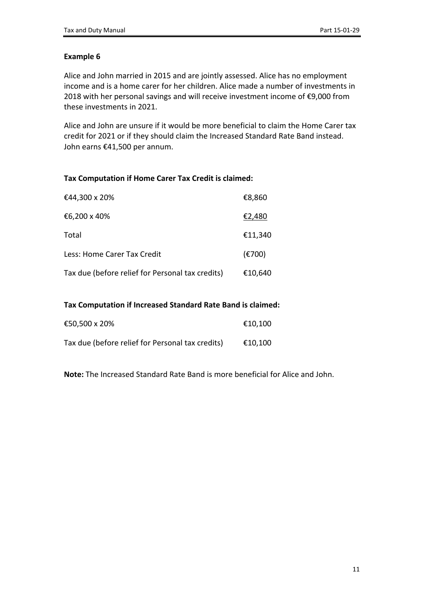#### **Example 6**

Alice and John married in 2015 and are jointly assessed. Alice has no employment income and is a home carer for her children. Alice made a number of investments in 2018 with her personal savings and will receive investment income of €9,000 from these investments in 2021.

Alice and John are unsure if it would be more beneficial to claim the Home Carer tax credit for 2021 or if they should claim the Increased Standard Rate Band instead. John earns €41,500 per annum.

#### **Tax Computation if Home Carer Tax Credit is claimed:**

| €44,300 x 20%                                    | €8,860                      |
|--------------------------------------------------|-----------------------------|
| €6,200 x 40%                                     | €2,480                      |
| Total                                            | €11,340                     |
| Less: Home Carer Tax Credit                      | $(\text{\textsterling}700)$ |
| Tax due (before relief for Personal tax credits) | €10,640                     |

#### **Tax Computation if Increased Standard Rate Band is claimed:**

| €50,500 x 20%                                    | €10,100 |
|--------------------------------------------------|---------|
| Tax due (before relief for Personal tax credits) | €10,100 |

**Note:** The Increased Standard Rate Band is more beneficial for Alice and John.